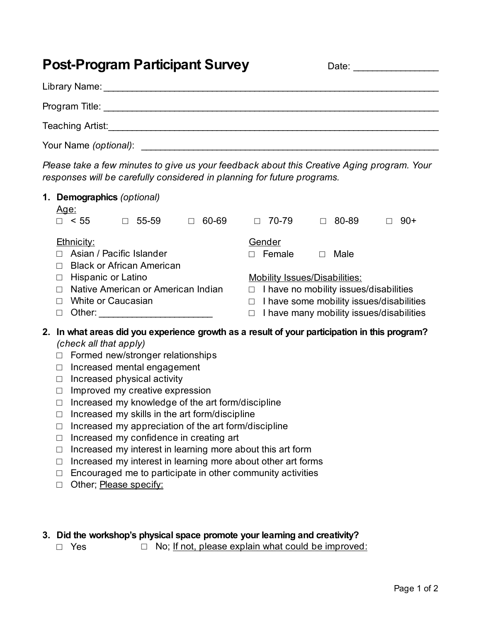## **Post-Program Participant Survey** Date: Date: Date:

| Library Name:           |  |
|-------------------------|--|
| Program Title:          |  |
| <b>Teaching Artist:</b> |  |
| Your Name (optional):   |  |

*Please take a few minutes to give us your feedback about this Creative Aging program. Your responses will be carefully considered in planning for future programs.*

| 1. |                                                                                                                      | Demographics (optional)<br><u>Age:</u> |   |                                   |                                               |                                                  |                                      |        |  |                                          |  |       |
|----|----------------------------------------------------------------------------------------------------------------------|----------------------------------------|---|-----------------------------------|-----------------------------------------------|--------------------------------------------------|--------------------------------------|--------|--|------------------------------------------|--|-------|
|    |                                                                                                                      | < 55                                   | П | 55-59                             |                                               | 60-69                                            | П                                    | 70-79  |  | 80-89                                    |  | $90+$ |
|    |                                                                                                                      | <b>Ethnicity:</b>                      |   |                                   |                                               |                                                  |                                      | Gender |  |                                          |  |       |
|    |                                                                                                                      | Asian / Pacific Islander               |   |                                   |                                               |                                                  | $\Box$                               | Female |  | Male                                     |  |       |
|    | $\Box$                                                                                                               | <b>Black or African American</b>       |   |                                   |                                               |                                                  |                                      |        |  |                                          |  |       |
|    | $\Box$                                                                                                               | Hispanic or Latino                     |   |                                   |                                               |                                                  | <b>Mobility Issues/Disabilities:</b> |        |  |                                          |  |       |
|    | П                                                                                                                    | Native American or American Indian     |   |                                   |                                               | I have no mobility issues/disabilities<br>$\Box$ |                                      |        |  |                                          |  |       |
|    | П                                                                                                                    | White or Caucasian                     |   |                                   | I have some mobility issues/disabilities<br>□ |                                                  |                                      |        |  |                                          |  |       |
|    | П                                                                                                                    | Other:                                 |   |                                   |                                               |                                                  | □                                    |        |  | I have many mobility issues/disabilities |  |       |
| 2. | In what areas did you experience growth as a result of your participation in this program?<br>(check all that apply) |                                        |   |                                   |                                               |                                                  |                                      |        |  |                                          |  |       |
|    | П                                                                                                                    |                                        |   | Formed new/stronger relationships |                                               |                                                  |                                      |        |  |                                          |  |       |
|    | Increased mental engagement<br>П                                                                                     |                                        |   |                                   |                                               |                                                  |                                      |        |  |                                          |  |       |
|    | Increased physical activity<br>□                                                                                     |                                        |   |                                   |                                               |                                                  |                                      |        |  |                                          |  |       |

- $\Box$  Improved my creative expression
- □ Increased my knowledge of the art form/discipline
- $\Box$  Increased my skills in the art form/discipline
- □ Increased my appreciation of the art form/discipline
- □ Increased my confidence in creating art
- $\Box$  Increased my interest in learning more about this art form
- □ Increased my interest in learning more about other art forms
- $\Box$  Encouraged me to participate in other community activities
- □ Other; Please specify:
- **3. Did the workshop's physical space promote your learning and creativity?**
	- □ Yes □ No; <u>If not, please explain what could be improved:</u>